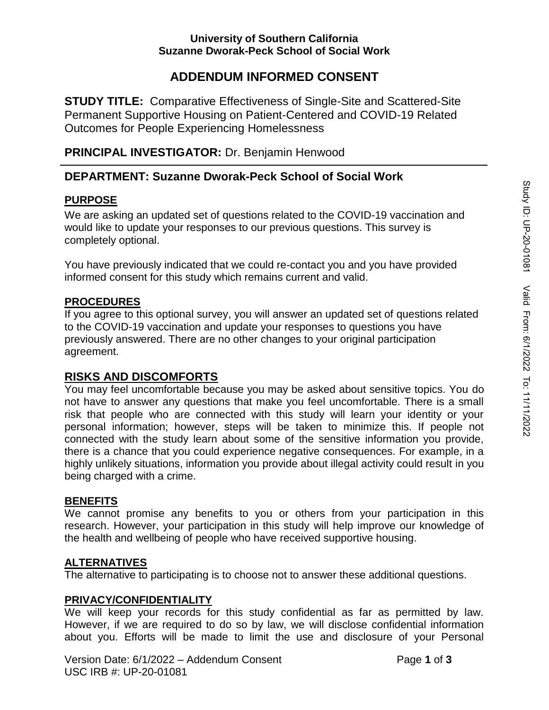# **ADDENDUM INFORMED CONSENT**

**STUDY TITLE:** Comparative Effectiveness of Single-Site and Scattered-Site Permanent Supportive Housing on Patient-Centered and COVID-19 Related Outcomes for People Experiencing Homelessness

## **PRINCIPAL INVESTIGATOR:** Dr. Benjamin Henwood

# **DEPARTMENT: Suzanne Dworak-Peck School of Social Work**

### **PURPOSE**

We are asking an updated set of questions related to the COVID-19 vaccination and would like to update your responses to our previous questions. This survey is completely optional.

You have previously indicated that we could re-contact you and you have provided informed consent for this study which remains current and valid.

## **PROCEDURES**

If you agree to this optional survey, you will answer an updated set of questions related to the COVID-19 vaccination and update your responses to questions you have previously answered. There are no other changes to your original participation agreement.

# **RISKS AND DISCOMFORTS**

You may feel uncomfortable because you may be asked about sensitive topics. You do not have to answer any questions that make you feel uncomfortable. There is a small risk that people who are connected with this study will learn your identity or your personal information; however, steps will be taken to minimize this. If people not connected with the study learn about some of the sensitive information you provide, there is a chance that you could experience negative consequences. For example, in a highly unlikely situations, information you provide about illegal activity could result in you being charged with a crime.

### **BENEFITS**

We cannot promise any benefits to you or others from your participation in this research. However, your participation in this study will help improve our knowledge of the health and wellbeing of people who have received supportive housing.

### **ALTERNATIVES**

The alternative to participating is to choose not to answer these additional questions.

## **PRIVACY/CONFIDENTIALITY**

We will keep your records for this study confidential as far as permitted by law. However, if we are required to do so by law, we will disclose confidential information about you. Efforts will be made to limit the use and disclosure of your Personal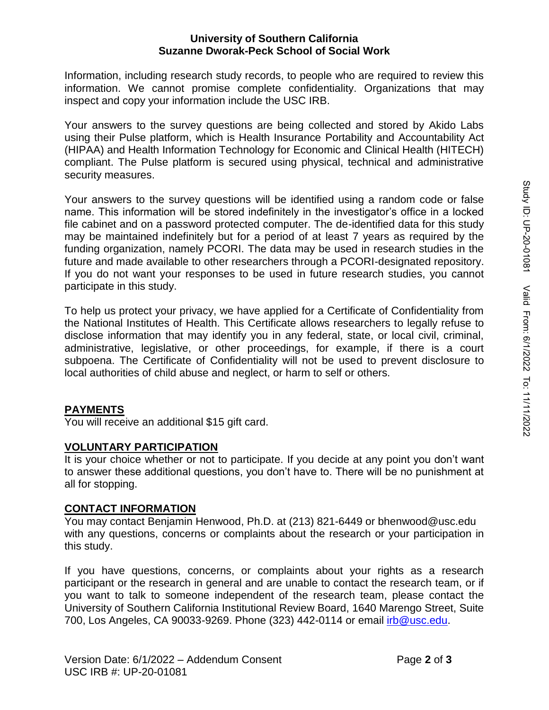#### **University of Southern California Suzanne Dworak-Peck School of Social Work**

Information, including research study records, to people who are required to review this information. We cannot promise complete confidentiality. Organizations that may inspect and copy your information include the USC IRB.

Your answers to the survey questions are being collected and stored by Akido Labs using their Pulse platform, which is Health Insurance Portability and Accountability Act (HIPAA) and Health Information Technology for Economic and Clinical Health (HITECH) compliant. The Pulse platform is secured using physical, technical and administrative security measures.

Your answers to the survey questions will be identified using a random code or false name. This information will be stored indefinitely in the investigator's office in a locked file cabinet and on a password protected computer. The de-identified data for this study may be maintained indefinitely but for a period of at least 7 years as required by the funding organization, namely PCORI. The data may be used in research studies in the future and made available to other researchers through a PCORI-designated repository. If you do not want your responses to be used in future research studies, you cannot participate in this study.

To help us protect your privacy, we have applied for a Certificate of Confidentiality from the National Institutes of Health. This Certificate allows researchers to legally refuse to disclose information that may identify you in any federal, state, or local civil, criminal, administrative, legislative, or other proceedings, for example, if there is a court subpoena. The Certificate of Confidentiality will not be used to prevent disclosure to local authorities of child abuse and neglect, or harm to self or others.

### **PAYMENTS**

You will receive an additional \$15 gift card.

#### **VOLUNTARY PARTICIPATION**

It is your choice whether or not to participate. If you decide at any point you don't want to answer these additional questions, you don't have to. There will be no punishment at all for stopping.

#### **CONTACT INFORMATION**

You may contact Benjamin Henwood, Ph.D. at (213) 821-6449 or bhenwood@usc.edu with any questions, concerns or complaints about the research or your participation in this study.

If you have questions, concerns, or complaints about your rights as a research participant or the research in general and are unable to contact the research team, or if you want to talk to someone independent of the research team, please contact the University of Southern California Institutional Review Board, 1640 Marengo Street, Suite 700, Los Angeles, CA 90033-9269. Phone (323) 442-0114 or email *irb@usc.edu.*